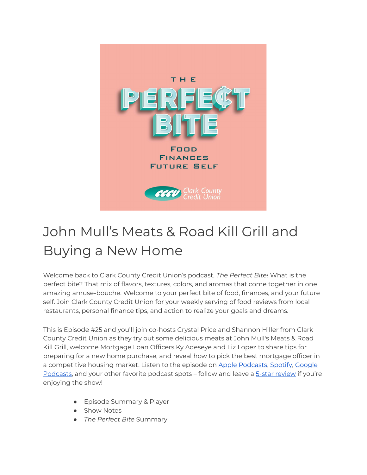

# John Mull's Meats & Road Kill Grill and Buying a New Home

Welcome back to Clark County Credit Union's podcast, *The Perfect Bite!* What is the perfect bite? That mix of flavors, textures, colors, and aromas that come together in one amazing amuse-bouche. Welcome to your perfect bite of food, finances, and your future self. Join Clark County Credit Union for your weekly serving of food reviews from local restaurants, personal finance tips, and action to realize your goals and dreams.

This is Episode #25 and you'll join co-hosts Crystal Price and Shannon Hiller from Clark County Credit Union as they try out some delicious meats at John Mull's Meats & Road Kill Grill, welcome Mortgage Loan Officers Ky Adeseye and Liz Lopez to share tips for preparing for a new home purchase, and reveal how to pick the best mortgage officer in a competitive housing market. Listen to the episode on Apple [Podcasts,](https://podcasts.apple.com/us/podcast/the-perfect-bite/id1604656448) [Spotify,](https://open.spotify.com/show/7tNPJZBNHabGWEFmjnHaxR?si=a0a7808911264628) [Google](https://podcasts.google.com/feed/aHR0cHM6Ly9wZXJmZWN0Yml0ZS5saWJzeW4uY29tL3Jzcw?sa=X&ved=0CAMQ4aUDahcKEwi47ZHlgPP1AhUAAAAAHQAAAAAQRA) [Podcasts,](https://podcasts.google.com/feed/aHR0cHM6Ly9wZXJmZWN0Yml0ZS5saWJzeW4uY29tL3Jzcw?sa=X&ved=0CAMQ4aUDahcKEwi47ZHlgPP1AhUAAAAAHQAAAAAQRA) and your other favorite podcast spots – follow and leave a 5-star [review](https://podcasts.apple.com/us/podcast/the-perfect-bite/id1604656448) if you're enjoying the show!

- Episode Summary & Player
- Show Notes
- *The Perfect Bite* Summary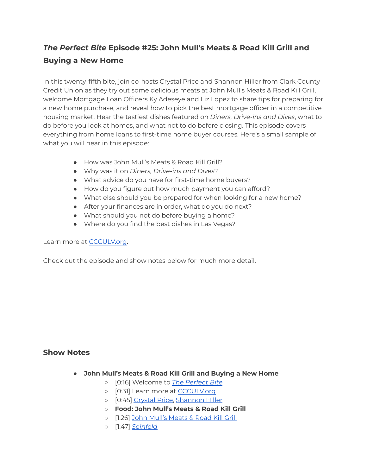# *The Perfect Bite* **Episode #25: John Mull's Meats & Road Kill Grill and Buying a New Home**

In this twenty-fifth bite, join co-hosts Crystal Price and Shannon Hiller from Clark County Credit Union as they try out some delicious meats at John Mull's Meats & Road Kill Grill, welcome Mortgage Loan Officers Ky Adeseye and Liz Lopez to share tips for preparing for a new home purchase, and reveal how to pick the best mortgage officer in a competitive housing market. Hear the tastiest dishes featured on *Diners, Drive-ins and Dives*, what to do before you look at homes, and what not to do before closing. This episode covers everything from home loans to first-time home buyer courses. Here's a small sample of what you will hear in this episode:

- How was John Mull's Meats & Road Kill Grill?
- Why was it on *Diners, Drive-ins and Dives*?
- What advice do you have for first-time home buyers?
- How do you figure out how much payment you can afford?
- What else should you be prepared for when looking for a new home?
- After your finances are in order, what do you do next?
- What should you not do before buying a home?
- Where do you find the best dishes in Las Vegas?

#### Learn more at [CCCULV.org.](https://www.ccculv.org/)

Check out the episode and show notes below for much more detail.

### **Show Notes**

- **John Mull's Meats & Road Kill Grill and Buying a New Home**
	- [0:16] Welcome to *[The Perfect Bite](https://www.ccculv.org/)*
	- o [0:31] Learn more at **[CCCULV.org](https://www.ccculv.org/)**
	- [0:45] [Crystal Price,](https://www.ccculv.org/Our-Mission.aspx) [Shannon Hiller](https://www.ccculv.org/Our-Mission.aspx)
	- **○ Food: John Mull's Meats & Road Kill Grill**
	- [1:26] [John Mull's Meats & Road Kill Grill](https://johnmullsmeatcompany.com/)
	- [1:47] *[Seinfeld](https://www.youtube.com/watch?v=RqlQYBcsq54)*